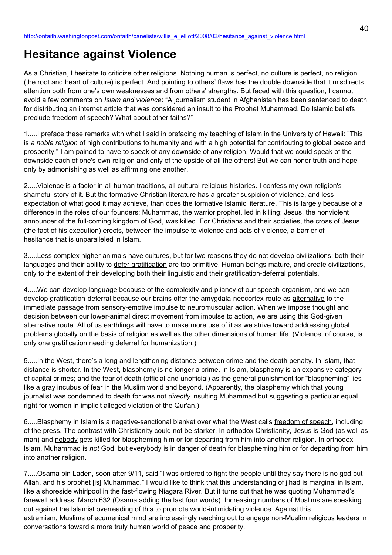## **Hesitance against Violence**

As a Christian, I hesitate to criticize other religions. Nothing human is perfect, no culture is perfect, no religion (the root and heart of culture) is perfect. And pointing to others' flaws has the double downside that it misdirects attention both from one's own weaknesses and from others' strengths. But faced with this question, I cannot avoid a few comments on *Islam and violence*: "A journalism student in Afghanistan has been sentenced to death for distributing an internet article that was considered an insult to the Prophet Muhammad. Do Islamic beliefs preclude freedom of speech? What about other faiths?"

1.....I preface these remarks with what I said in prefacing my teaching of Islam in the University of Hawaii: "This is *a noble religion* of high contributions to humanity and with a high potential for contributing to global peace and prosperity." I am pained to have to speak of any downside of any religion. Would that we could speak of the downside each of one's own religion and only of the upside of all the others! But we can honor truth and hope only by admonishing as well as affirming one another.

2.....Violence is a factor in all human traditions, all cultural-religious histories. I confess my own religion's shameful story of it. But the formative Christian literature has a greater suspicion of violence, and less expectation of what good it may achieve, than does the formative Islamic literature. This is largely because of a difference in the roles of our founders: Muhammad, the warrior prophet, led in killing; Jesus, the nonviolent announcer of the full-coming kingdom of God, *was* killed. For Christians and their societies, the cross of Jesus (the fact of his execution) erects, between the impulse to violence and acts of violence, a barrier of hesitance that is unparalleled in Islam.

3.....Less complex higher animals have cultures, but for two reasons they do not develop civilizations: both their languages and their ability to defer gratification are too primitive. Human beings mature, and create civilizations, only to the extent of their developing both their linguistic and their gratification-deferral potentials.

4.....We can develop language because of the complexity and pliancy of our speech-organism, and we can develop gratification-deferral because our brains offer the amygdala-neocortex route as alternative to the immediate passage from sensory-emotive impulse to neuromuscular action. When we impose thought and decision between our lower-animal direct movement from impulse to action, we are using this God-given alternative route. All of us earthlings will have to make more use of it as we strive toward addressing global problems globally on the basis of religion as well as the other dimensions of human life. (Violence, of course, is only one gratification needing deferral for humanization.)

5.....In the West, there's a long and lengthening distance between crime and the death penalty. In Islam, that distance is shorter. In the West, blasphemy is no longer a crime. In Islam, blasphemy is an expansive category of capital crimes; and the fear of death (official and unofficial) as the general punishment for "blaspheming" lies like a gray incubus of fear in the Muslim world and beyond. (Apparently, the blasphemy which that young journalist was condemned to death for was not *directly* insulting Muhammad but suggesting a particular equal right for women in implicit alleged violation of the Qur'an.)

6.....Blasphemy in Islam is a negative-sanctional blanket over what the West calls freedom of speech, including of the press. The contrast with Christianity could not be starker. In orthodox Christianity, Jesus is God (as well as man) and nobody gets killed for blaspheming him or for departing from him into another religion. In orthodox Islam, Muhammad is *not* God, but everybody is in danger of death for blaspheming him or for departing from him into another religion.

7.....Osama bin Laden, soon after 9/11, said "I was ordered to fight the people until they say there is no god but Allah, and his prophet [is] Muhammad." I would like to think that this understanding of jihad is marginal in Islam, like a shoreside whirlpool in the fast-flowing Niagara River. But it turns out that he was quoting Muhammad's farewell address, March 632 (Osama adding the last four words). Increasing numbers of Muslims are speaking out against the Islamist overreading of this to promote world-intimidating violence. Against this extremism, Muslims of ecumenical mind are increasingly reaching out to engage non-Muslim religious leaders in conversations toward a more truly human world of peace and prosperity.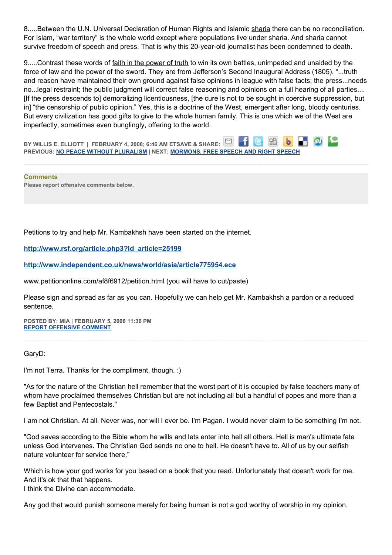8.....Between the U.N. Universal Declaration of Human Rights and Islamic sharia there can be no reconciliation. For Islam, "war territory" is the whole world except where populations live under sharia. And sharia cannot survive freedom of speech and press. That is why this 20-year-old journalist has been condemned to death.

9.....Contrast these words of faith in the power of truth to win its own battles, unimpeded and unaided by the force of law and the power of the sword. They are from Jefferson's Second Inaugural Address (1805). "...truth and reason have maintained their own ground against false opinions in league with false facts; the press...needs no...legal restraint; the public judgment will correct false reasoning and opinions on a full hearing of all parties.... [If the press descends to] demoralizing licentiousness, [the cure is not to be sought in coercive suppression, but in] "the censorship of public opinion." Yes, this is a doctrine of the West, emergent after long, bloody centuries. But every civilization has good gifts to give to the whole human family. This is one which we of the West are imperfectly, sometimes even bunglingly, offering to the world.

**BY WILLIS E. ELLIOTT | FEBRUARY 4, 2008; 6:46 AM ETSAVE & SHARE: PREVIOUS: [NO PEACE WITHOUT PLURALISM](http://onfaith.washingtonpost.com/onfaith/panelists/eboo_patel/2008/02/peace_in_kenya_and_the_world.html) | NEXT: [MORMONS, FREE SPEECH AND RIGHT SPEECH](http://onfaith.washingtonpost.com/onfaith/panelists/kathleen_flake/2008/02/free_speech_and_right_speech.html)**

**Comments Please report offensive comments below.**

Petitions to try and help Mr. Kambakhsh have been started on the internet.

**[http://www.rsf.org/article.php3?id\\_article=25199](http://www.rsf.org/article.php3?id_article=25199)**

**<http://www.independent.co.uk/news/world/asia/article775954.ece>**

www.petitiononline.com/af8f6912/petition.html (you will have to cut/paste)

Please sign and spread as far as you can. Hopefully we can help get Mr. Kambakhsh a pardon or a reduced sentence.

**POSTED BY: MIA | FEBRUARY 5, 2008 11:36 PM [REPORT OFFENSIVE COMMENT](mailto:blogs@washingtonpost.com?subject=On%20Faith%20Panelists%20Blog%20%20%7C%20%20mia%20%20%7C%20%20Hesitance%20against%20Violence%20%20%7C%20%202368844&body=%0D%0D%0D%0D%0D================%0D?__mode=view%26_type=comment%26id=2368844%26blog_id=618)**

GaryD:

I'm not Terra. Thanks for the compliment, though. :)

"As for the nature of the Christian hell remember that the worst part of it is occupied by false teachers many of whom have proclaimed themselves Christian but are not including all but a handful of popes and more than a few Baptist and Pentecostals."

I am not Christian. At all. Never was, nor will I ever be. I'm Pagan. I would never claim to be something I'm not.

"God saves according to the Bible whom he wills and lets enter into hell all others. Hell is man's ultimate fate unless God intervenes. The Christian God sends no one to hell. He doesn't have to. All of us by our selfish nature volunteer for service there."

Which is how your god works for you based on a book that you read. Unfortunately that doesn't work for me. And it's ok that that happens.

I think the Divine can accommodate.

Any god that would punish someone merely for being human is not a god worthy of worship in my opinion.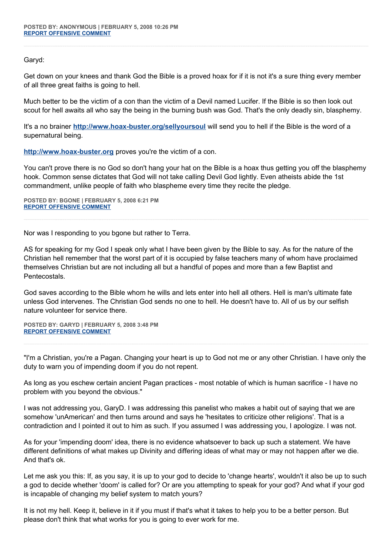Garyd:

Get down on your knees and thank God the Bible is a proved hoax for if it is not it's a sure thing every member of all three great faiths is going to hell.

Much better to be the victim of a con than the victim of a Devil named Lucifer. If the Bible is so then look out scout for hell awaits all who say the being in the burning bush was God. That's the only deadly sin, blasphemy.

It's a no brainer **<http://www.hoax-buster.org/sellyoursoul>** will send you to hell if the Bible is the word of a supernatural being.

**[http://www.hoax-buster.org](http://www.hoax-buster.org/)** proves you're the victim of a con.

You can't prove there is no God so don't hang your hat on the Bible is a hoax thus getting you off the blasphemy hook. Common sense dictates that God will not take calling Devil God lightly. Even atheists abide the 1st commandment, unlike people of faith who blaspheme every time they recite the pledge.

**POSTED BY: BGONE | FEBRUARY 5, 2008 6:21 PM [REPORT OFFENSIVE COMMENT](mailto:blogs@washingtonpost.com?subject=On%20Faith%20Panelists%20Blog%20%20%7C%20%20BGone%20%20%7C%20%20Hesitance%20against%20Violence%20%20%7C%20%202366923&body=%0D%0D%0D%0D%0D================%0D?__mode=view%26_type=comment%26id=2366923%26blog_id=618)**

Nor was I responding to you bgone but rather to Terra.

AS for speaking for my God I speak only what I have been given by the Bible to say. As for the nature of the Christian hell remember that the worst part of it is occupied by false teachers many of whom have proclaimed themselves Christian but are not including all but a handful of popes and more than a few Baptist and **Pentecostals** 

God saves according to the Bible whom he wills and lets enter into hell all others. Hell is man's ultimate fate unless God intervenes. The Christian God sends no one to hell. He doesn't have to. All of us by our selfish nature volunteer for service there.

**POSTED BY: GARYD | FEBRUARY 5, 2008 3:48 PM [REPORT OFFENSIVE COMMENT](mailto:blogs@washingtonpost.com?subject=On%20Faith%20Panelists%20Blog%20%20%7C%20%20Garyd%20%20%7C%20%20Hesitance%20against%20Violence%20%20%7C%20%202365887&body=%0D%0D%0D%0D%0D================%0D?__mode=view%26_type=comment%26id=2365887%26blog_id=618)**

"I'm a Christian, you're a Pagan. Changing your heart is up to God not me or any other Christian. I have only the duty to warn you of impending doom if you do not repent.

As long as you eschew certain ancient Pagan practices - most notable of which is human sacrifice - I have no problem with you beyond the obvious."

I was not addressing you, GaryD. I was addressing this panelist who makes a habit out of saying that we are somehow 'unAmerican' and then turns around and says he 'hesitates to criticize other religions'. That is a contradiction and I pointed it out to him as such. If you assumed I was addressing you, I apologize. I was not.

As for your 'impending doom' idea, there is no evidence whatsoever to back up such a statement. We have different definitions of what makes up Divinity and differing ideas of what may or may not happen after we die. And that's ok.

Let me ask you this: If, as you say, it is up to your god to decide to 'change hearts', wouldn't it also be up to such a god to decide whether 'doom' is called for? Or are you attempting to speak for your god? And what if your god is incapable of changing my belief system to match yours?

It is not my hell. Keep it, believe in it if you must if that's what it takes to help you to be a better person. But please don't think that what works for you is going to ever work for me.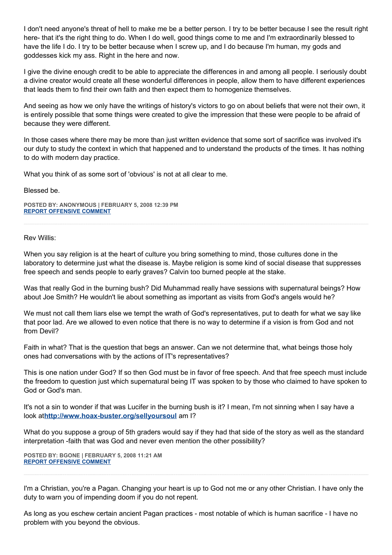I don't need anyone's threat of hell to make me be a better person. I try to be better because I see the result right here- that it's the right thing to do. When I do well, good things come to me and I'm extraordinarily blessed to have the life I do. I try to be better because when I screw up, and I do because I'm human, my gods and goddesses kick my ass. Right in the here and now.

I give the divine enough credit to be able to appreciate the differences in and among all people. I seriously doubt a divine creator would create all these wonderful differences in people, allow them to have different experiences that leads them to find their own faith and then expect them to homogenize themselves.

And seeing as how we only have the writings of history's victors to go on about beliefs that were not their own, it is entirely possible that some things were created to give the impression that these were people to be afraid of because they were different.

In those cases where there may be more than just written evidence that some sort of sacrifice was involved it's our duty to study the context in which that happened and to understand the products of the times. It has nothing to do with modern day practice.

What you think of as some sort of 'obvious' is not at all clear to me.

Blessed be.

**POSTED BY: ANONYMOUS | FEBRUARY 5, 2008 12:39 PM [REPORT OFFENSIVE COMMENT](mailto:blogs@washingtonpost.com?subject=On%20Faith%20Panelists%20Blog%20%20%7C%20%20Anonymous%20%20%7C%20%20Hesitance%20against%20Violence%20%20%7C%20%202364684&body=%0D%0D%0D%0D%0D================%0D?__mode=view%26_type=comment%26id=2364684%26blog_id=618)**

Rev Willis:

When you say religion is at the heart of culture you bring something to mind, those cultures done in the laboratory to determine just what the disease is. Maybe religion is some kind of social disease that suppresses free speech and sends people to early graves? Calvin too burned people at the stake.

Was that really God in the burning bush? Did Muhammad really have sessions with supernatural beings? How about Joe Smith? He wouldn't lie about something as important as visits from God's angels would he?

We must not call them liars else we tempt the wrath of God's representatives, put to death for what we say like that poor lad. Are we allowed to even notice that there is no way to determine if a vision is from God and not from Devil?

Faith in what? That is the question that begs an answer. Can we not determine that, what beings those holy ones had conversations with by the actions of IT's representatives?

This is one nation under God? If so then God must be in favor of free speech. And that free speech must include the freedom to question just which supernatural being IT was spoken to by those who claimed to have spoken to God or God's man.

It's not a sin to wonder if that was Lucifer in the burning bush is it? I mean, I'm not sinning when I say have a look at**<http://www.hoax-buster.org/sellyoursoul>** am I?

What do you suppose a group of 5th graders would say if they had that side of the story as well as the standard interpretation -faith that was God and never even mention the other possibility?

**POSTED BY: BGONE | FEBRUARY 5, 2008 11:21 AM [REPORT OFFENSIVE COMMENT](mailto:blogs@washingtonpost.com?subject=On%20Faith%20Panelists%20Blog%20%20%7C%20%20BGone%20%20%7C%20%20Hesitance%20against%20Violence%20%20%7C%20%202364129&body=%0D%0D%0D%0D%0D================%0D?__mode=view%26_type=comment%26id=2364129%26blog_id=618)**

I'm a Christian, you're a Pagan. Changing your heart is up to God not me or any other Christian. I have only the duty to warn you of impending doom if you do not repent.

As long as you eschew certain ancient Pagan practices - most notable of which is human sacrifice - I have no problem with you beyond the obvious.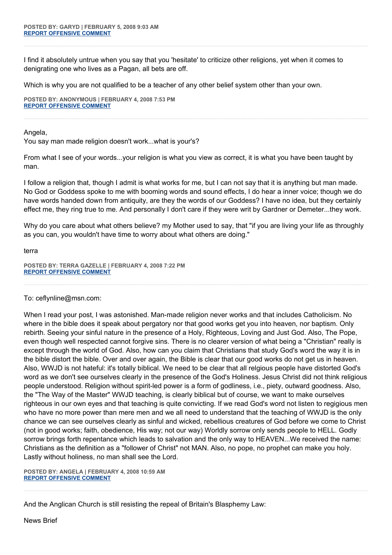I find it absolutely untrue when you say that you 'hesitate' to criticize other religions, yet when it comes to denigrating one who lives as a Pagan, all bets are off.

Which is why you are not qualified to be a teacher of any other belief system other than your own.

**POSTED BY: ANONYMOUS | FEBRUARY 4, 2008 7:53 PM [REPORT OFFENSIVE COMMENT](mailto:blogs@washingtonpost.com?subject=On%20Faith%20Panelists%20Blog%20%20%7C%20%20Anonymous%20%20%7C%20%20Hesitance%20against%20Violence%20%20%7C%20%202358213&body=%0D%0D%0D%0D%0D================%0D?__mode=view%26_type=comment%26id=2358213%26blog_id=618)**

Angela,

You say man made religion doesn't work...what is your's?

From what I see of your words...your religion is what you view as correct, it is what you have been taught by man.

I follow a religion that, though I admit is what works for me, but I can not say that it is anything but man made. No God or Goddess spoke to me with booming words and sound effects, I do hear a inner voice; though we do have words handed down from antiquity, are they the words of our Goddess? I have no idea, but they certainly effect me, they ring true to me. And personally I don't care if they were writ by Gardner or Demeter...they work.

Why do you care about what others believe? my Mother used to say, that "if you are living your life as throughly as you can, you wouldn't have time to worry about what others are doing."

terra

**POSTED BY: TERRA GAZELLE | FEBRUARY 4, 2008 7:22 PM [REPORT OFFENSIVE COMMENT](mailto:blogs@washingtonpost.com?subject=On%20Faith%20Panelists%20Blog%20%20%7C%20%20Terra%20Gazelle%20%20%7C%20%20Hesitance%20against%20Violence%20%20%7C%20%202358032&body=%0D%0D%0D%0D%0D================%0D?__mode=view%26_type=comment%26id=2358032%26blog_id=618)**

To: ceflynline@msn.com:

When I read your post, I was astonished. Man-made religion never works and that includes Catholicism. No where in the bible does it speak about pergatory nor that good works get you into heaven, nor baptism. Only rebirth. Seeing your sinful nature in the presence of a Holy, Righteous, Loving and Just God. Also, The Pope, even though well respected cannot forgive sins. There is no clearer version of what being a "Christian" really is except through the world of God. Also, how can you claim that Christians that study God's word the way it is in the bible distort the bible. Over and over again, the Bible is clear that our good works do not get us in heaven. Also, WWJD is not hateful: it's totally biblical. We need to be clear that all relgious people have distorted God's word as we don't see ourselves clearly in the presence of the God's Holiness. Jesus Christ did not think religious people understood. Religion without spirit-led power is a form of godliness, i.e., piety, outward goodness. Also, the "The Way of the Master" WWJD teaching, is clearly biblical but of course, we want to make ourselves righteous in our own eyes and that teaching is quite convicting. If we read God's word not listen to regigious men who have no more power than mere men and we all need to understand that the teaching of WWJD is the only chance we can see ourselves clearly as sinful and wicked, rebellious creatures of God before we come to Christ (not in good works; faith, obedience, His way; not our way) Worldly sorrow only sends people to HELL. Godly sorrow brings forth repentance which leads to salvation and the only way to HEAVEN...We received the name: Christians as the definition as a "follower of Christ" not MAN. Also, no pope, no prophet can make you holy. Lastly without holiness, no man shall see the Lord.

**POSTED BY: ANGELA | FEBRUARY 4, 2008 10:59 AM [REPORT OFFENSIVE COMMENT](mailto:blogs@washingtonpost.com?subject=On%20Faith%20Panelists%20Blog%20%20%7C%20%20Angela%20%20%7C%20%20Hesitance%20against%20Violence%20%20%7C%20%202354394&body=%0D%0D%0D%0D%0D================%0D?__mode=view%26_type=comment%26id=2354394%26blog_id=618)**

And the Anglican Church is still resisting the repeal of Britain's Blasphemy Law:

News Brief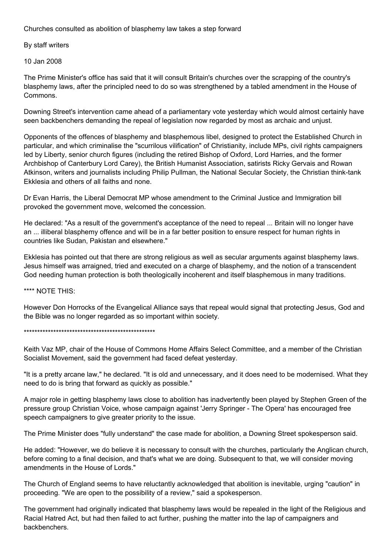Churches consulted as abolition of blasphemy law takes a step forward

By staff writers

10 Jan 2008

The Prime Minister's office has said that it will consult Britain's churches over the scrapping of the country's blasphemy laws, after the principled need to do so was strengthened by a tabled amendment in the House of Commons.

Downing Street's intervention came ahead of a parliamentary vote yesterday which would almost certainly have seen backbenchers demanding the repeal of legislation now regarded by most as archaic and unjust.

Opponents of the offences of blasphemy and blasphemous libel, designed to protect the Established Church in particular, and which criminalise the "scurrilous vilification" of Christianity, include MPs, civil rights campaigners led by Liberty, senior church figures (including the retired Bishop of Oxford, Lord Harries, and the former Archbishop of Canterbury Lord Carey), the British Humanist Association, satirists Ricky Gervais and Rowan Atkinson, writers and journalists including Philip Pullman, the National Secular Society, the Christian think-tank Ekklesia and others of all faiths and none.

Dr Evan Harris, the Liberal Democrat MP whose amendment to the Criminal Justice and Immigration bill provoked the government move, welcomed the concession.

He declared: "As a result of the government's acceptance of the need to repeal ... Britain will no longer have an ... illiberal blasphemy offence and will be in a far better position to ensure respect for human rights in countries like Sudan, Pakistan and elsewhere."

Ekklesia has pointed out that there are strong religious as well as secular arguments against blasphemy laws. Jesus himself was arraigned, tried and executed on a charge of blasphemy, and the notion of a transcendent God needing human protection is both theologically incoherent and itself blasphemous in many traditions.

\*\*\*\* NOTE THIS:

However Don Horrocks of the Evangelical Alliance says that repeal would signal that protecting Jesus, God and the Bible was no longer regarded as so important within society.

\*\*\*\*\*\*\*\*\*\*\*\*\*\*\*\*\*\*\*\*\*\*\*\*\*\*\*\*\*\*\*\*\*\*\*\*\*\*\*\*\*\*\*\*\*\*\*\*\*

Keith Vaz MP, chair of the House of Commons Home Affairs Select Committee, and a member of the Christian Socialist Movement, said the government had faced defeat yesterday.

"It is a pretty arcane law," he declared. "It is old and unnecessary, and it does need to be modernised. What they need to do is bring that forward as quickly as possible."

A major role in getting blasphemy laws close to abolition has inadvertently been played by Stephen Green of the pressure group Christian Voice, whose campaign against 'Jerry Springer - The Opera' has encouraged free speech campaigners to give greater priority to the issue.

The Prime Minister does "fully understand" the case made for abolition, a Downing Street spokesperson said.

He added: "However, we do believe it is necessary to consult with the churches, particularly the Anglican church, before coming to a final decision, and that's what we are doing. Subsequent to that, we will consider moving amendments in the House of Lords."

The Church of England seems to have reluctantly acknowledged that abolition is inevitable, urging "caution" in proceeding. "We are open to the possibility of a review," said a spokesperson.

The government had originally indicated that blasphemy laws would be repealed in the light of the Religious and Racial Hatred Act, but had then failed to act further, pushing the matter into the lap of campaigners and backbenchers.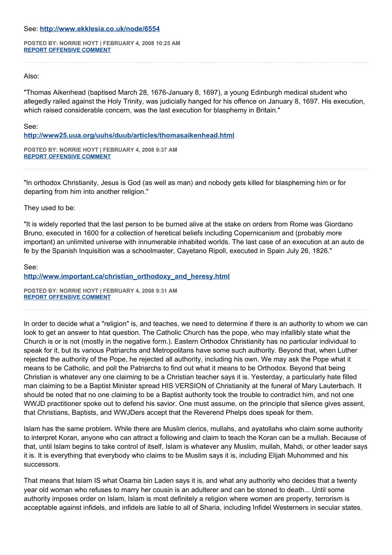## See: **<http://www.ekklesia.co.uk/node/6554>**

**POSTED BY: NORRIE HOYT | FEBRUARY 4, 2008 10:25 AM [REPORT OFFENSIVE COMMENT](mailto:blogs@washingtonpost.com?subject=On%20Faith%20Panelists%20Blog%20%20%7C%20%20Norrie%20Hoyt%20%20%7C%20%20Hesitance%20against%20Violence%20%20%7C%20%202354155&body=%0D%0D%0D%0D%0D================%0D?__mode=view%26_type=comment%26id=2354155%26blog_id=618)**

## Also:

"Thomas Aikenhead (baptised March 28, 1676-January 8, 1697), a young Edinburgh medical student who allegedly railed against the Holy Trinity, was judicially hanged for his offence on January 8, 1697. His execution, which raised considerable concern, was the last execution for blasphemy in Britain."

See:

**<http://www25.uua.org/uuhs/duub/articles/thomasaikenhead.html>**

**POSTED BY: NORRIE HOYT | FEBRUARY 4, 2008 9:37 AM [REPORT OFFENSIVE COMMENT](mailto:blogs@washingtonpost.com?subject=On%20Faith%20Panelists%20Blog%20%20%7C%20%20Norrie%20Hoyt%20%20%7C%20%20Hesitance%20against%20Violence%20%20%7C%20%202353828&body=%0D%0D%0D%0D%0D================%0D?__mode=view%26_type=comment%26id=2353828%26blog_id=618)**

"In orthodox Christianity, Jesus is God (as well as man) and nobody gets killed for blaspheming him or for departing from him into another religion."

They used to be:

"It is widely reported that the last person to be burned alive at the stake on orders from Rome was Giordano Bruno, executed in 1600 for a collection of heretical beliefs including Copernicanism and (probably more important) an unlimited universe with innumerable inhabited worlds. The last case of an execution at an auto de fe by the Spanish Inquisition was a schoolmaster, Cayetano Ripoll, executed in Spain July 26, 1826."

See:

**[http://www.important.ca/christian\\_orthodoxy\\_and\\_heresy.html](http://www.important.ca/christian_orthodoxy_and_heresy.html)**

**POSTED BY: NORRIE HOYT | FEBRUARY 4, 2008 9:31 AM [REPORT OFFENSIVE COMMENT](mailto:blogs@washingtonpost.com?subject=On%20Faith%20Panelists%20Blog%20%20%7C%20%20Norrie%20Hoyt%20%20%7C%20%20Hesitance%20against%20Violence%20%20%7C%20%202353811&body=%0D%0D%0D%0D%0D================%0D?__mode=view%26_type=comment%26id=2353811%26blog_id=618)**

In order to decide what a "religion" is, and teaches, we need to determine if there is an authority to whom we can look to get an answer to htat question. The Catholic Church has the pope, who may infallibly state what the Church is or is not (mostly in the negative form.). Eastern Orthodox Christianity has no particular individual to speak for it, but its various Patriarchs and Metropolitans have some such authority. Beyond that, when Luther rejected the authority of the Pope, he rejected all authority, including his own. We may ask the Pope what it means to be Catholic, and poll the Patriarchs to find out what it means to be Orthodox. Beyond that being Christian is whatever any one claiming to be a Christian teacher says it is. Yesterday, a particularly hate filled man claiming to be a Baptist Minister spread HIS VERSION of Christianity at the funeral of Mary Lauterbach. It should be noted that no one claiming to be a Baptist authority took the trouble to contradict him, and not one WWJD practitioner spoke out to defend his savior. One must assume, on the principle that silence gives assent, that Christians, Baptists, and WWJDers accept that the Reverend Phelps does speak for them.

Islam has the same problem. While there are Muslim clerics, mullahs, and ayatollahs who claim some authority to interpret Koran, anyone who can attract a following and claim to teach the Koran can be a mullah. Because of that, until Islam begins to take control of itself, Islam is whatever any Muslim, mullah, Mahdi, or other leader says it is. It is everything that everybody who claims to be Muslim says it is, including Elijah Muhommed and his successors.

That means that Islam IS what Osama bin Laden says it is, and what any authority who decides that a twenty year old woman who refuses to marry her cousin is an adulterer and can be stoned to death... Until some authority imposes order on Islam, Islam is most definitely a religion where women are property, terrorism is acceptable against infidels, and infidels are liable to all of Sharia, including Infidel Westerners in secular states.